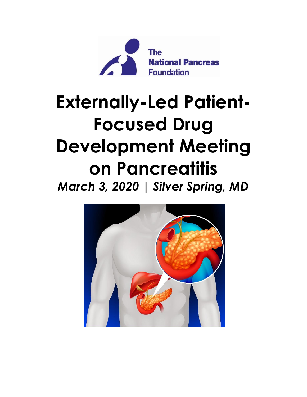

# **Externally-Led Patient-Focused Drug Development Meeting on Pancreatitis** *March 3, 2020 | Silver Spring, MD*

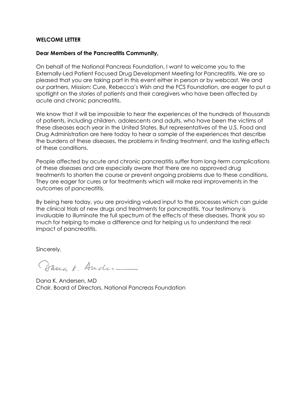#### **WELCOME LETTER**

#### **Dear Members of the Pancreatitis Community,**

On behalf of the National Pancreas Foundation, I want to welcome you to the Externally-Led Patient Focused Drug Development Meeting for Pancreatitis. We are so pleased that you are taking part in this event either in person or by webcast. We and our partners, Mission: Cure, Rebecca's Wish and the FCS Foundation, are eager to put a spotlight on the stories of patients and their caregivers who have been affected by acute and chronic pancreatitis.

We know that it will be impossible to hear the experiences of the hundreds of thousands of patients, including children, adolescents and adults, who have been the victims of these diseases each year in the United States. But representatives of the U.S. Food and Drug Administration are here today to hear a sample of the experiences that describe the burdens of these diseases, the problems in finding treatment, and the lasting effects of these conditions.

People affected by acute and chronic pancreatitis suffer from long-term complications of these diseases and are especially aware that there are no approved drug treatments to shorten the course or prevent ongoing problems due to these conditions. They are eager for cures or for treatments which will make real improvements in the outcomes of pancreatitis.

By being here today, you are providing valued input to the processes which can guide the clinical trials of new drugs and treatments for pancreatitis. Your testimony is invaluable to illuminate the full spectrum of the effects of these diseases. Thank you so much for helping to make a difference and for helping us to understand the real impact of pancreatitis.

Sincerely,

Danak. Ander

Dana K. Andersen, MD Chair, Board of Directors, National Pancreas Foundation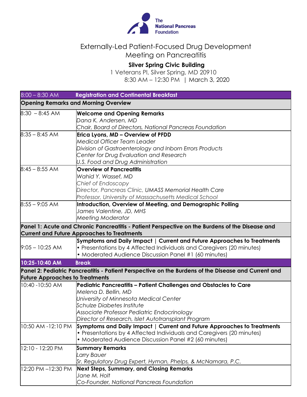

## Externally-Led Patient-Focused Drug Development Meeting on Pancreatitis

# **Silver Spring Civic Building**

1 Veterans Pl, Silver Spring, MD 20910 8:30 AM – 12:30 PM | March 3, 2020

|                                             | $8:00 - 8:30$ AM   | <b>Registration and Continental Breakfast</b>                                                                                                         |  |
|---------------------------------------------|--------------------|-------------------------------------------------------------------------------------------------------------------------------------------------------|--|
| <b>Opening Remarks and Morning Overview</b> |                    |                                                                                                                                                       |  |
|                                             | $8:30 - 8:45$ AM   | <b>Welcome and Opening Remarks</b>                                                                                                                    |  |
|                                             |                    | Dana K. Andersen, MD                                                                                                                                  |  |
|                                             |                    | Chair, Board of Directors, National Pancreas Foundation                                                                                               |  |
|                                             | $8:35 - 8:45$ AM   | Erica Lyons, MD - Overview of PFDD                                                                                                                    |  |
|                                             |                    | <b>Medical Officer Team Leader</b>                                                                                                                    |  |
|                                             |                    | Division of Gastroenterology and Inborn Errors Products                                                                                               |  |
|                                             |                    | Center for Drug Evaluation and Research                                                                                                               |  |
|                                             |                    | U.S. Food and Drug Administration                                                                                                                     |  |
|                                             | $8:45 - 8:55$ AM   | <b>Overview of Pancreatitis</b>                                                                                                                       |  |
|                                             |                    | Wahid Y. Wassef, MD                                                                                                                                   |  |
|                                             |                    | Chief of Endoscopy<br>Director, Pancreas Clinic, UMASS Memorial Health Care                                                                           |  |
|                                             |                    | Professor, University of Massachusetts Medical School                                                                                                 |  |
|                                             |                    |                                                                                                                                                       |  |
|                                             | $8:55 - 9:05$ AM   | Introduction, Overview of Meeting, and Demographic Polling<br>James Valentine, JD, MHS                                                                |  |
|                                             |                    | <b>Meeting Moderator</b>                                                                                                                              |  |
|                                             |                    |                                                                                                                                                       |  |
|                                             |                    | Panel 1: Acute and Chronic Pancreatitis - Patient Perspective on the Burdens of the Disease and<br><b>Current and Future Approaches to Treatments</b> |  |
|                                             |                    | Symptoms and Daily Impact   Current and Future Approaches to Treatments                                                                               |  |
|                                             | $9:05 - 10:25$ AM  | • Presentations by 4 Affected Individuals and Caregivers (20 minutes)                                                                                 |  |
|                                             |                    | • Moderated Audience Discussion Panel #1 (60 minutes)                                                                                                 |  |
|                                             | 10:25-10:40 AM     | <b>Break</b>                                                                                                                                          |  |
|                                             |                    | Panel 2: Pediatric Pancreatitis - Patient Perspective on the Burdens of the Disease and Current and                                                   |  |
| <b>Future Approaches to Treatments</b>      |                    |                                                                                                                                                       |  |
|                                             | 10:40 - 10:50 AM   | Pediatric Pancreatitis - Patient Challenges and Obstacles to Care                                                                                     |  |
|                                             |                    | Melena D. Bellin, MD                                                                                                                                  |  |
|                                             |                    | University of Minnesota Medical Center                                                                                                                |  |
|                                             |                    | Schulze Diabetes Institute                                                                                                                            |  |
|                                             |                    | Associate Professor Pediatric Endocrinology                                                                                                           |  |
|                                             |                    | Director of Research, Islet Autotransplant Program                                                                                                    |  |
|                                             | 10:50 AM -12:10 PM | Symptoms and Daily Impact   Current and Future Approaches to Treatments                                                                               |  |
|                                             |                    | • Presentations by 4 Affected Individuals and Caregivers (20 minutes)                                                                                 |  |
|                                             |                    | • Moderated Audience Discussion Panel #2 (60 minutes)                                                                                                 |  |
|                                             | 12:10 - 12:20 PM   | <b>Summary Remarks</b>                                                                                                                                |  |
|                                             |                    | Larry Bauer                                                                                                                                           |  |
|                                             |                    | Sr. Regulatory Drug Expert, Hyman, Phelps, & McNamara, P.C.                                                                                           |  |
|                                             | 12:20 PM -12:30 PM | <b>Next Steps, Summary, and Closing Remarks</b>                                                                                                       |  |
|                                             |                    | Jane M. Holt                                                                                                                                          |  |
|                                             |                    | Co-Founder, National Pancreas Foundation                                                                                                              |  |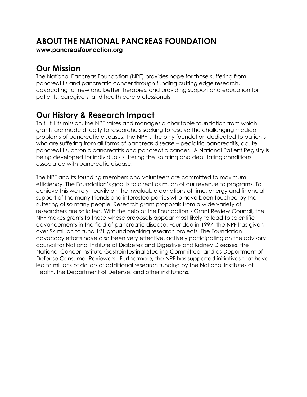# **ABOUT THE NATIONAL PANCREAS FOUNDATION**

**[www.pancreasfoundation.org](http://www.pancreasfoundation.org/)**

# **Our Mission**

The National Pancreas Foundation (NPF) provides hope for those suffering from pancreatitis and pancreatic cancer through funding cutting edge research, advocating for new and better therapies, and providing support and education for patients, caregivers, and health care professionals.

# **Our History & Research Impact**

To fulfill its mission, the NPF raises and manages a charitable foundation from which grants are made directly to researchers seeking to resolve the challenging medical problems of pancreatic diseases. The NPF is the only foundation dedicated to patients who are suffering from all forms of pancreas disease – pediatric pancreatitis, acute pancreatitis, chronic pancreatitis and pancreatic cancer. A National Patient Registry is being developed for individuals suffering the isolating and debilitating conditions associated with pancreatic disease.

The NPF and its founding members and volunteers are committed to maximum efficiency. The Foundation's goal is to direct as much of our revenue to programs. To achieve this we rely heavily on the invaluable donations of time, energy and financial support of the many friends and interested parties who have been touched by the suffering of so many people. Research grant proposals from a wide variety of researchers are solicited. With the help of the Foundation's Grant Review Council, the NPF makes grants to those whose proposals appear most likely to lead to scientific advancements in the field of pancreatic disease. Founded in 1997, the NPF has given over \$4 million to fund 121 groundbreaking research projects. The Foundation advocacy efforts have also been very effective, actively participating on the advisory council for National Institute of Diabetes and Digestive and Kidney Diseases, the National Cancer Institute Gastrointestinal Steering Committee, and as Department of Defense Consumer Reviewers. Furthermore, the NPF has supported initiatives that have led to millions of dollars of additional research funding by the National Institutes of Health, the Department of Defense, and other institutions.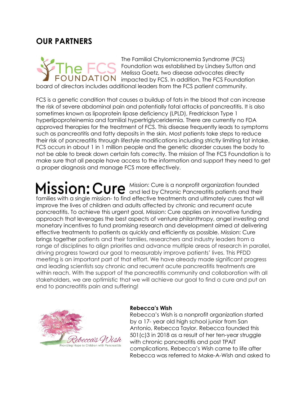## **OUR PARTNERS**



The Familial Chylomicronemia Syndrome (FCS) Foundation was established by Lindsey Sutton and Melissa Goetz, two disease advocates directly NDATION impacted by FCS. In addition, The FCS Foundation

board of directors includes additional leaders from the FCS patient community.

FCS is a genetic condition that causes a buildup of fats in the blood that can increase the risk of severe abdominal pain and potentially fatal attacks of pancreatitis. It is also sometimes known as lipoprotein lipase deficiency (LPLD), Fredrickson Type 1 hyperlipoproteinemia and familial hypertriglyceridemia. There are currently no FDA approved therapies for the treatment of FCS. This disease frequently leads to symptoms such as pancreatitis and fatty deposits in the skin. Most patients take steps to reduce their risk of pancreatitis through lifestyle modifications including strictly limiting fat intake. FCS occurs in about 1 in 1 million people and the genetic disorder causes the body to not be able to break down certain fats correctly. The mission of The FCS Foundation is to make sure that all people have access to the information and support they need to get a proper diagnosis and manage FCS more effectively.

Mission: Cure is a nonprofit organization founded and led by Chronic Pancreatitis patients and their families with a single mission- to find effective treatments and ultimately cures that will improve the lives of children and adults affected by chronic and recurrent acute pancreatitis. To achieve this urgent goal, Mission: Cure applies an innovative funding approach that leverages the best aspects of venture philanthropy, angel investing and monetary incentives to fund promising research and development aimed at delivering effective treatments to patients as quickly and efficiently as possible. Mission: Cure brings together patients and their families, researchers and industry leaders from a range of disciplines to align priorities and advance multiple areas of research in parallel, driving progress toward our goal to measurably improve patients' lives. This PFDD meeting is an important part of that effort. We have already made significant progress and leading scientists say chronic and recurrent acute pancreatitis treatments are within reach. With the support of the pancreatitis community and collaboration with all stakeholders, we are optimistic that we will achieve our goal to find a cure and put an end to pancreatitis pain and suffering!



#### **Rebecca's Wish**

Rebecca's Wish is a nonprofit organization started by a 17- year old high school junior from San Antonio, Rebecca Taylor. Rebecca founded this 501(c)3 in 2018 as a result of her ten-year struggle with chronic pancreatitis and post TPAIT complications. Rebecca's Wish came to life after Rebecca was referred to Make-A-Wish and asked to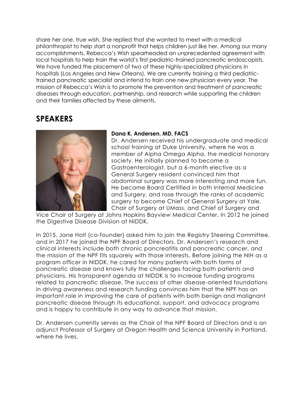share her one, true wish. She replied that she wanted to meet with a medical philanthropist to help start a nonprofit that helps children just like her. Among our many accomplishments, Rebecca's Wish spearheaded an unprecedented agreement with local hospitals to help train the world's first pediatric-trained pancreatic endoscopists. We have funded the placement of two of these highly-specialized physicians in hospitals (Los Angeles and New Orleans). We are currently training a third pediatrictrained pancreatic specialist and intend to train one new physician every year. The mission of Rebecca's Wish is to promote the prevention and treatment of pancreatic diseases through education, partnership, and research while supporting the children and their families affected by these ailments.

# **SPEAKERS**



#### **Dana K. Andersen, MD, FACS**

Dr. Andersen received his undergraduate and medical school training at Duke University, where he was a member of Alpha Omega Alpha, the medical honorary society. He initially planned to become a Gastroenterologist, but a 6-month elective as a General Surgery resident convinced him that abdominal surgery was more interesting and more fun. He became Board Certified in both Internal Medicine and Surgery, and rose through the ranks of academic surgery to become Chief of General Surgery at Yale, Chair of Surgery at UMass, and Chief of Surgery and

Vice Chair of Surgery at Johns Hopkins Bayview Medical Center. In 2012 he joined the Digestive Disease Division at NIDDK.

In 2015, Jane Holt (co-founder) asked him to join the Registry Steering Committee, and in 2017 he joined the NPF Board of Directors. Dr. Andersen's research and clinical interests include both chronic pancreatitis and pancreatic cancer, and the mission of the NPF fits squarely with those interests. Before joining the NIH as a program officer in NIDDK, he cared for many patients with both forms of pancreatic disease and knows fully the challenges facing both patients and physicians. His transparent agenda at NIDDK is to increase funding programs related to pancreatic disease. The success of other disease-oriented foundations in driving awareness and research funding convinces him that the NPF has an important role in improving the care of patients with both benign and malignant pancreatic disease through its educational, support, and advocacy programs and is happy to contribute in any way to advance that mission.

Dr. Andersen currently serves as the Chair of the NPF Board of Directors and is an adjunct Professor of Surgery at Oregon Health and Science University in Portland, where he lives.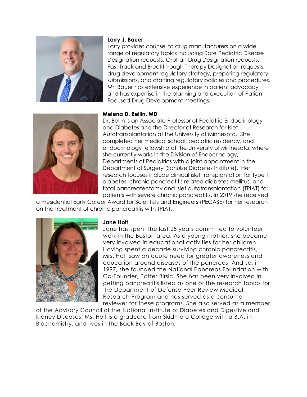

#### **Larry J. Bauer**

Larry provides counsel to drug manufacturers on a wide range of regulatory topics including Rare Pediatric Disease Designation requests, Orphan Drug Designation requests, Fast Track and Breakthrough Therapy Designation requests, drug development regulatory strategy, preparing regulatory submissions, and drafting regulatory policies and procedures. Mr. Bauer has extensive experience in patient advocacy and has expertise in the planning and execution of Patient Focused Drug Development meetings.



#### **Melena D. Bellin, MD**

Dr. Bellin is an Associate Professor of Pediatric Endocrinology and Diabetes and the Director of Research for Islet Autotransplantation at the University of Minnesota. She completed her medical school, pediatric residency, and endocrinology fellowship at the University of Minnesota, where she currently works in the Division of Endocrinology, Departments of Pediatrics with a joint appointment in the Department of Surgery (Schulze Diabetes Institute). Her research focuses include clinical islet transplantation for type 1 diabetes, chronic pancreatitis related diabetes mellitus, and total pancreatectomy and islet autotransplantation (TPIAT) for patients with severe chronic pancreatitis. In 2019 she received

a Presidential Early Career Award for Scientists and Engineers (PECASE) for her research on the treatment of chronic pancreatitis with TPIAT.



#### **Jane Holt**

Jane has spent the last 25 years committed to volunteer work in the Boston area. As a young mother, she became very involved in educational activities for her children. Having spent a decade surviving chronic pancreatitis, Mrs. Holt saw an acute need for greater awareness and education around diseases of the pancreas. And so, in 1997, she founded the National Pancreas Foundation with Co-Founder, Patter Birsic. She has been very involved in getting pancreatitis listed as one of the research topics for the Department of Defense Peer Review Medical Research Program and has served as a consumer reviewer for these programs. She also served as a member

of the Advisory Council of the National Institute of Diabetes and Digestive and Kidney Diseases. Ms. Holt is a graduate from Skidmore College with a B.A. in Biochemistry, and lives in the Back Bay of Boston.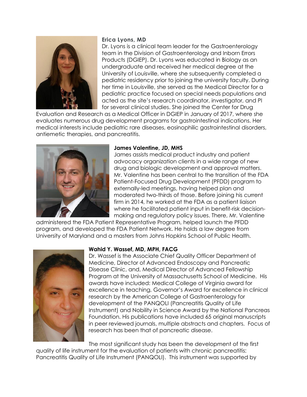

#### **Erica Lyons, MD**

Dr. Lyons is a clinical team leader for the Gastroenterology team in the Division of Gastroenterology and Inborn Errors Products (DGIEP). Dr. Lyons was educated in Biology as an undergraduate and received her medical degree at the University of Louisville, where she subsequently completed a pediatric residency prior to joining the university faculty. During her time in Louisville, she served as the Medical Director for a pediatric practice focused on special needs populations and acted as the site's research coordinator, investigator, and PI for several clinical studies. She joined the Center for Drug

Evaluation and Research as a Medical Officer in DGIEP in January of 2017, where she evaluates numerous drug development programs for gastrointestinal indications. Her medical interests include pediatric rare diseases, eosinophilic gastrointestinal disorders, antiemetic therapies, and pancreatitis.



#### **James Valentine, JD, MHS**

James assists medical product industry and patient advocacy organization clients in a wide range of new drug and biologic development and approval matters. Mr. Valentine has been central to the transition of the FDA Patient-Focused Drug Development (PFDD) program to externally-led meetings, having helped plan and moderated two-thirds of those. Before joining his current firm in 2014, he worked at the FDA as a patient liaison where he facilitated patient input in benefit-risk decisionmaking and regulatory policy issues. There, Mr. Valentine

administered the FDA Patient Representative Program, helped launch the PFDD program, and developed the FDA Patient Network. He holds a law degree from University of Maryland and a masters from Johns Hopkins School of Public Health.



#### **Wahid Y. Wassef, MD, MPH, FACG**

Dr. Wassef is the Associate Chief Quality Officer Department of Medicine, Director of Advanced Endoscopy and Pancreatic Disease Clinic, and, Medical Director of Advanced Fellowship Program at the University of Massachusetts School of Medicine. His awards have included: Medical College of Virginia award for excellence in teaching, Governor's Award for excellence in clinical research by the American College of Gastroenterology for development of the PANQOLI (Pancreatitis Quality of Life Instrument) and Nobility in Science Award by the National Pancreas Foundation. His publications have included 65 original manuscripts in peer reviewed journals, multiple abstracts and chapters. Focus of research has been that of pancreatic disease.

The most significant study has been the development of the first

quality of life instrument for the evaluation of patients with chronic pancreatitis: Pancreatitis Quality of Life Instrument (PANQOLI). This instrument was supported by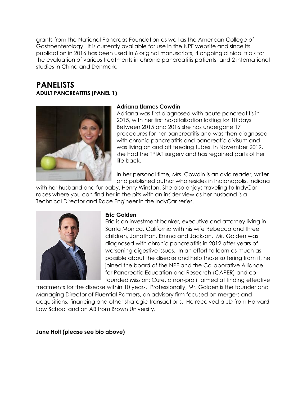grants from the National Pancreas Foundation as well as the American College of Gastroenterology. It is currently available for use in the NPF website and since its publication in 2016 has been used in 6 original manuscripts, 4 ongoing clinical trials for the evaluation of various treatments in chronic pancreatitis patients, and 2 international studies in China and Denmark.

### **PANELISTS ADULT PANCREATITIS (PANEL 1)**



#### **Adriana Llames Cowdin**

Adriana was first diagnosed with acute pancreatitis in 2015, with her first hospitalization lasting for 10 days Between 2015 and 2016 she has undergone 17 procedures for her pancreatitis and was then diagnosed with chronic pancreatitis and pancreatic divisum and was living on and off feeding tubes. In November 2019, she had the TPIAT surgery and has regained parts of her life back.

In her personal time, Mrs. Cowdin is an avid reader, writer and published author who resides in Indianapolis, Indiana

with her husband and fur baby, Henry Winston. She also enjoys traveling to IndyCar races where you can find her in the pits with an insider view as her husband is a Technical Director and Race Engineer in the IndyCar series.



#### **Eric Golden**

Eric is an investment banker, executive and attorney living in Santa Monica, California with his wife Rebecca and three children, Jonathan, Emma and Jackson. Mr. Golden was diagnosed with chronic pancreatitis in 2012 after years of worsening digestive issues. In an effort to learn as much as possible about the disease and help those suffering from it, he joined the board of the NPF and the Collaborative Alliance for Pancreatic Education and Research (CAPER) and cofounded Mission: Cure, a non-profit aimed at finding effective

treatments for the disease within 10 years. Professionally, Mr. Golden is the founder and Managing Director of Fluential Partners, an advisory firm focused on mergers and acquisitions, financing and other strategic transactions. He received a JD from Harvard Law School and an AB from Brown University.

**Jane Holt (please see bio above)**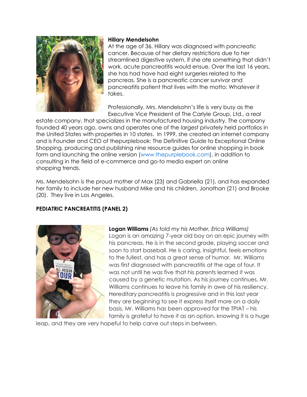

#### **Hillary Mendelsohn**

At the age of 36, Hillary was diagnosed with pancreatic cancer. Because of her dietary restrictions due to her streamlined digestive system, if she ate something that didn't work, acute pancreatitis would ensue. Over the last 16 years, she has had have had eight surgeries related to the pancreas. She is a pancreatic cancer survivor and pancreatitis patient that lives with the motto: Whatever it takes.

Professionally, Mrs. Mendelsohn's life is very busy as the Executive Vice President of The Carlyle Group, Ltd., a real

estate company, that specializes in the manufactured housing industry. The company founded 40 years ago, owns and operates one of the largest privately held portfolios in the United States with properties in 10 states. In 1999, she created an internet company and is Founder and CEO of thepurplebook: The Definitive Guide to Exceptional Online Shopping, producing and publishing nine resource guides for online shopping in book form and launching the online version [\(www.thepurplebook.com\)](http://www.thepurplebook.com/), in addition to consulting in the field of e-commerce and go-to media expert on online shopping trends.

Ms. Mendelsohn is the proud mother of Max (23) and Gabriella (21), and has expanded her family to include her new husband Mike and his children, Jonathan (21) and Brooke (20). They live in Los Angeles.

#### **PEDIATRIC PANCREATITIS (PANEL 2)**



**Logan Williams** *(As told my his Mother, Erica Williams)*Logan is an amazing 7-year old boy on an epic journey with his pancreas. He is in the second grade, playing soccer and soon to start baseball. He is caring, insightful, feels emotions to the fullest, and has a great sense of humor. Mr. Williams was first diagnosed with pancreatitis at the age of four. It was not until he was five that his parents learned it was caused by a genetic mutation. As his journey continues, Mr. Williams continues to leave his family in awe of his resiliency. Hereditary pancreatitis is progressive and in this last year they are beginning to see it express itself more on a daily basis. Mr. Williams has been approved for the TPIAT – his family is grateful to have it as an option, knowing it is a huge

leap, and they are very hopeful to help carve out steps in between.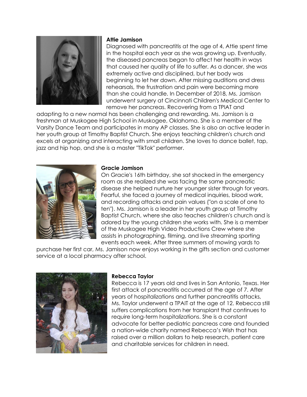

#### **Attie Jamison**

Diagnosed with pancreatitis at the age of 4, Attie spent time in the hospital each year as she was growing up. Eventually, the diseased pancreas began to affect her health in ways that caused her quality of life to suffer. As a dancer, she was extremely active and disciplined, but her body was beginning to let her down. After missing auditions and dress rehearsals, the frustration and pain were becoming more than she could handle. In December of 2018, Ms. Jamison underwent surgery at Cincinnati Children's Medical Center to remove her pancreas. Recovering from a TPIAT and

adapting to a new normal has been challenging and rewarding. Ms. Jamison is a freshman at Muskogee High School in Muskogee, Oklahoma. She is a member of the Varsity Dance Team and participates in many AP classes. She is also an active leader in her youth group at Timothy Baptist Church. She enjoys teaching children's church and excels at organizing and interacting with small children. She loves to dance ballet, tap, jazz and hip hop, and she is a master "TikTok" performer.



#### **Gracie Jamison**

On Gracie's 16th birthday, she sat shocked in the emergency room as she realized she was facing the same pancreatic disease she helped nurture her younger sister through for years. Fearful, she faced a journey of medical inquiries, blood work, and recording attacks and pain values ("on a scale of one to ten"). Ms. Jamison is a leader in her youth group at Timothy Baptist Church, where she also teaches children's church and is adored by the young children she works with. She is a member of the Muskogee High Video Productions Crew where she assists in photographing, filming, and live streaming sporting events each week. After three summers of mowing yards to

purchase her first car, Ms. Jamison now enjoys working in the gifts section and customer service at a local pharmacy after school.



#### **Rebecca Taylor**

Rebecca is 17 years old and lives in San Antonio, Texas. Her first attack of pancreatitis occurred at the age of 7. After years of hospitalizations and further pancreatitis attacks, Ms. Taylor underwent a TPAIT at the age of 12. Rebecca still suffers complications from her transplant that continues to require long-term hospitalizations. She is a constant advocate for better pediatric pancreas care and founded a nation-wide charity named Rebecca's Wish that has raised over a million dollars to help research, patient care and charitable services for children in need.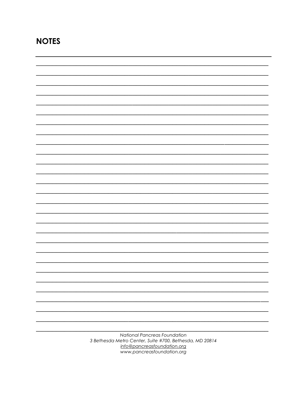# **NOTES**

| National Pancreas Foundation                            |  |
|---------------------------------------------------------|--|
| 3 Bethesda Metro Center, Suite #700, Bethesda, MD 20814 |  |
| info@pancreasfoundation.org                             |  |
|                                                         |  |

www.pancreasfoundation.org